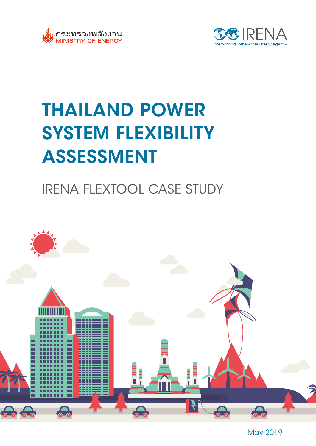



# THAILAND POWER SYSTEM FLEXIBILITY ASSESSMENT

## IRENA FLEXTOOL CASE STUDY



May 2019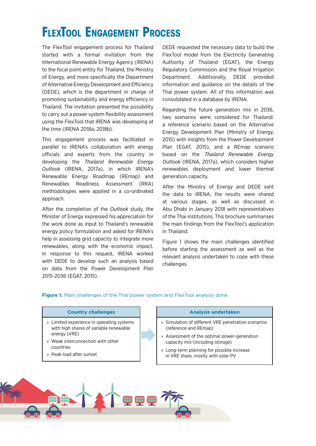### **FlexTool Engagement Process**

The FlexTool engagement process for Thailand started with a formal invitation from the International Renewable Energy Agency (IRENA) to the focal point entity for Thailand, the Ministry of Energy, and more specifically the Department of Alternative Energy Development and Efficiency (DEDE), which is the department in charge of promoting sustainability and energy efficiency in Thailand. The invitation presented the possibility to carry out a power system flexibility assessment using the FlexTool that IRENA was developing at the time (IRENA 2018a, 2018b).

This engagement process was facilitated in parallel to IRENA's collaboration with energy officials and experts from the country in developing the *Thailand Renewable Energy Outlook* (IRENA, 2017a), in which IRENA's Renewable Energy Roadmap (REmap) and Renewables Readiness Assessment (RRA) methodologies were applied in a co-ordinated approach.

After the completion of the *Outlook* study, the Minister of Energy expressed his appreciation for the work done as input to Thailand's renewable energy policy formulation and asked for IRENA's help in assessing grid capacity to integrate more renewables, along with the economic impact. In response to this request, IRENA worked with DEDE to develop such an analysis based on data from the Power Development Plan 2015-2036 (EGAT, 2015).

DEDE requested the necessary data to build the FlexTool model from the Electricity Generating Authority of Thailand (EGAT), the Energy Regulatory Commission and the Royal Irrigation Department. Additionally, DEDE provided information and guidance on the details of the Thai power system. All of this information was consolidated in a database by IRENA.

Regarding the future generation mix in 2036, two scenarios were considered for Thailand: a reference scenario based on the Alternative Energy Development Plan (Ministry of Energy, 2015) with insights from the Power Development Plan (EGAT, 2015), and a REmap scenario based on the *Thailand Renewable Energy Outlook* (IRENA, 2017a), which considers higher renewables deployment and lower thermal generation capacity.

After the Ministry of Energy and DEDE sent the data to IRENA, the results were shared at various stages, as well as discussed in Abu Dhabi in January 2018 with representatives of the Thai institutions. This brochure summarises the main findings from the FlexTool's application in Thailand.

Figure 1 shows the main challenges identified before starting the assessment as well as the relevant analysis undertaken to cope with these challenges.

#### **Figure 1:** Main challenges of the Thai power system and FlexTool analysis done

- » Limited experience in operating systems with high shares of variable renewable energy (VRE)
- » Weak interconnection with other countries
- » Peak load after sunset

#### **Country challenges Analysis undertaken**

- » Simulation of different VRE penetration scenarios (reference and REmap)
- » Assessment of the optimal power-generation capacity mix (including storage)
- » Long-term planning for possible increase in VRE share, mostly with solar PV

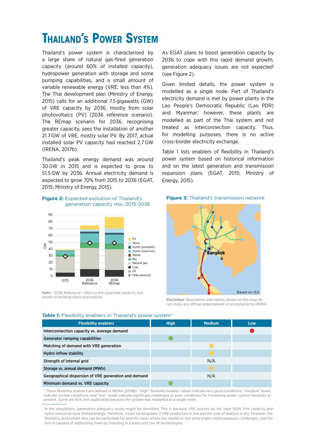### **Thailand's Power System**

Thailand's power system is characterised by a large share of natural gas-fired generation capacity (around 60% of installed capacity), hydropower generation with storage and some pumping capabilities, and a small amount of variable renewable energy (VRE; less than 4%). The Thai development plan (Ministry of Energy, 2015) calls for an additional 7.5 gigawatts (GW) of VRE capacity by 2036, mostly from solar photovoltaics (PV) (2036 reference scenario). The REmap scenario for 2036, recognising greater capacity, sees the installation of another 21.7 GW of VRE, mostly solar PV. By 2017, actual installed solar PV capacity had reached 2.7 GW (IRENA, 2017b).

Thailand's peak energy demand was around 30 GW in 2015 and is expected to grow to 51.5 GW by 2036. Annual electricity demand is expected to grow 70% from 2015 to 2036 (EGAT, 2015; Ministry of Energy, 2015).

#### **Figure 2:** Expected evolution of Thailand's generation capacity mix, 2015-2036



Note: "2036 Reference" refers to the expected capacity mix<br>based on existing plans and policies.

As EGAT plans to boost generation capacity by 2036 to cope with this rapid demand growth, generation adequacy issues are not expected<sup>1</sup> (see Figure 2).

Given limited details, the power system is modelled as a single node. Part of Thailand's electricity demand is met by power plants in the Lao People's Democratic Republic (Lao PDR) and Myanmar; however, these plants are modelled as part of the Thai system and not treated as interconnection capacity. Thus, for modelling purposes, there is no active cross-border electricity exchange.

Table 1 lists enablers of flexibility in Thailand's power system based on historical information and on the latest generation and transmission expansion plans (EGAT, 2015; Ministry of Energy, 2015).





**Disclaimer:** Boundaries and names shown on this map do not imply any official endorsement or acceptance by IRENA.

| <b>Flexibility enablers</b>                          | <b>High</b> | <b>Medium</b> | Low |
|------------------------------------------------------|-------------|---------------|-----|
| Interconnection capacity vs. average demand          |             |               |     |
| Generator ramping capabilities                       |             |               |     |
| Matching of demand with VRE generation               |             |               |     |
| <b>Hydro inflow stability</b>                        |             |               |     |
| Strength of internal grid                            |             | N/A           |     |
| Storage vs. annual demand (MWh)                      |             |               |     |
| Geographical dispersion of VRE generation and demand |             | N/A           |     |
| Minimum demand vs. VRE capacity                      |             |               |     |

**Table 1:** Flexibility enablers in Thailand's power system\*

\* These flexibility enablers are defined in IRENA (2018b). "High" flexibility enabler values indicate very good conditions; "medium" levels indicate normal conditions; and "low" levels indicate significant challenges or poor conditions for increasing power system flexibility at present. Some are N/A (not applicable) because the system was modelled as a single node.

1 In the simulations, generation adequacy issues might be identified. This is because VRE sources do not have 100% firm capacity and hydro resources have limited energy; therefore, issues could appear if VRE production is low and the year of analysis is dry. However, the flexibility assessment also can be performed for specific cases where low rainfall or low wind might create adequacy challenges, and the tool is capable of addressing them by investing in a least-cost mix of technologies.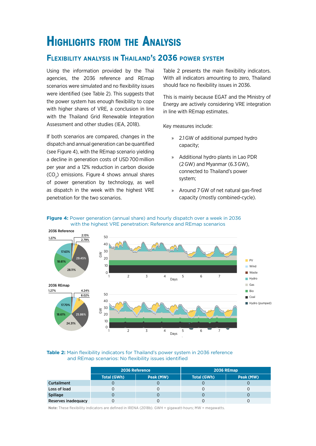### **Highlights from the Analysis**

### **Flexibility analysis in Thailand's 2036 power system**

Using the information provided by the Thai agencies, the 2036 reference and REmap scenarios were simulated and no flexibility issues were identified (see Table 2). This suggests that the power system has enough flexibility to cope with higher shares of VRE, a conclusion in line with the Thailand Grid Renewable Integration Assessment and other studies (IEA, 2018).

If both scenarios are compared, changes in the dispatch and annual generation can be quantified (see Figure 4), with the REmap scenario yielding a decline in generation costs of USD700 million per year and a 12% reduction in carbon dioxide  $(CO<sub>2</sub>)$  emissions. Figure 4 shows annual shares of power generation by technology, as well as dispatch in the week with the highest VRE penetration for the two scenarios.

Table 2 presents the main flexibility indicators. With all indicators amounting to zero, Thailand should face no flexibility issues in 2036.

This is mainly because EGAT and the Ministry of Energy are actively considering VRE integration in line with REmap estimates.

Key measures include:

- » 2.1GW of additional pumped hydro capacity;
- » Additional hydro plants in Lao PDR (2GW) and Myanmar (6.3GW), connected to Thailand's power system;
- » Around 7GW of net natural gas-fired capacity (mostly combined-cycle).





#### **Table 2:** Main flexibility indicators for Thailand's power system in 2036 reference and REmap scenarios: No flexibility issues identified

|                     | 2036 Reference |           | <b>2036 REmap</b>  |           |
|---------------------|----------------|-----------|--------------------|-----------|
|                     | Total (GWh)    | Peak (MW) | <b>Total (GWh)</b> | Peak (MW) |
| <b>Curtailment</b>  |                |           |                    |           |
| Loss of load        |                |           |                    |           |
| <b>Spillage</b>     |                |           |                    |           |
| Reserves inadequacy |                |           |                    |           |

Note: These flexibility indicators are defined in IRENA (2018b). GWH = gigawatt-hours; MW = megawatts.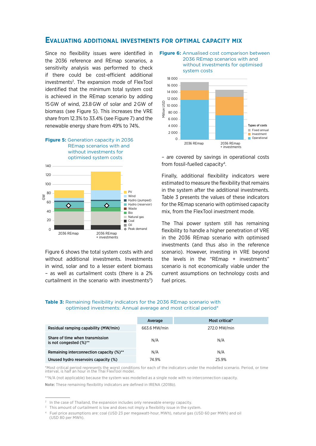#### **Evaluating additional investments for optimal capacity mix**

Since no flexibility issues were identified in the 2036 reference and REmap scenarios, a sensitivity analysis was performed to check if there could be cost-efficient additional investments<sup>2</sup>. The expansion mode of FlexTool identified that the minimum total system cost is achieved in the REmap scenario by adding 15GW of wind, 23.8GW of solar and 2GW of biomass (see Figure 5). This increases the VRE share from 12.3% to 33.4% (see Figure 7) and the renewable energy share from 49% to 74%.



Figure 6 shows the total system costs with and without additional investments. Investments in wind, solar and to a lesser extent biomass – as well as curtailment costs (there is a 2% curtailment in the scenario with investments $3$ )





– are covered by savings in operational costs from fossil-fuelled capacity4.

Finally, additional flexibility indicators were estimated to measure the flexibility that remains in the system after the additional investments. Table 3 presents the values of these indicators for the REmap scenario with optimised capacity mix, from the FlexTool investment mode.

The Thai power system still has remaining flexibility to handle a higher penetration of VRE in the 2036 REmap scenario with optimised investments (and thus also in the reference scenario). However, investing in VRE beyond the levels in the "REmap + investments" scenario is not economically viable under the current assumptions on technology costs and fuel prices.

#### **Table 3:** Remaining flexibility indicators for the 2036 REmap scenario with optimised investments: Annual average and most critical period\*

|                                                           | Average      | Most critical* |
|-----------------------------------------------------------|--------------|----------------|
| Residual ramping capability (MW/min)                      | 663.6 MW/min | 272.0 MW/min   |
| Share of time when transmission<br>is not congested (%)** | N/A          | N/A            |
| Remaining interconnection capacity (%)**                  | N/A          | N/A            |
| Unused hydro reservoirs capacity (%)                      | 74.9%        | 25.9%          |

\*Most critical period represents the worst conditions for each of the indicators under the modelled scenario. Period, or time interval, is half an hour in the Thai FlexTool model.

\*\*N/A (not applicable) because the system was modelled as a single node with no interconnection capacity.

Note: These remaining flexibility indicators are defined in IRENA (2018b).

<sup>2</sup> In the case of Thailand, the expansion includes only renewable energy capacity.

<sup>3</sup> This amount of curtailment is low and does not imply a flexibility issue in the system.

<sup>4</sup> Fuel price assumptions are: coal (USD 23 per megawatt-hour, MWh), natural gas (USD 60 per MWh) and oil (USD 80 per MWh).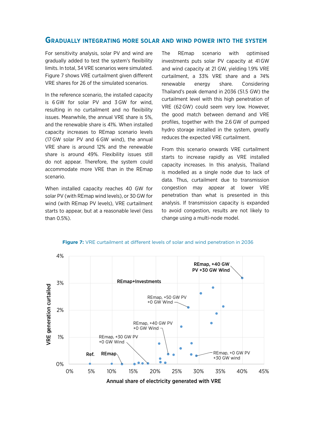#### **Gradually integrating more solar and wind power into the system**

For sensitivity analysis, solar PV and wind are gradually added to test the system's flexibility limits. In total, 34 VRE scenarios were simulated. Figure 7 shows VRE curtailment given different VRE shares for 26 of the simulated scenarios.

In the reference scenario, the installed capacity is 6 GW for solar PV and 3 GW for wind, resulting in no curtailment and no flexibility issues. Meanwhile, the annual VRE share is 5%, and the renewable share is 41%. When installed capacity increases to REmap scenario levels (17 GW solar PV and 6GW wind), the annual VRE share is around 12% and the renewable share is around 49%. Flexibility issues still do not appear. Therefore, the system could accommodate more VRE than in the REmap scenario.

When installed capacity reaches 40 GW for solar PV (with REmap wind levels), or 30GW for wind (with REmap PV levels), VRE curtailment starts to appear, but at a reasonable level (less than 0.5%).

The REmap scenario with optimised investments puts solar PV capacity at 41GW and wind capacity at 21 GW, yielding 1.9% VRE curtailment, a 33% VRE share and a 74% renewable energy share. Considering Thailand's peak demand in 2036 (51.5 GW) the curtailment level with this high penetration of VRE (62GW) could seem very low. However, the good match between demand and VRE profiles, together with the 2.6 GW of pumped hydro storage installed in the system, greatly reduces the expected VRE curtailment.

From this scenario onwards VRE curtailment starts to increase rapidly as VRE installed capacity increases. In this analysis, Thailand is modelled as a single node due to lack of data. Thus, curtailment due to transmission congestion may appear at lower VRE penetration than what is presented in this analysis. If transmission capacity is expanded to avoid congestion, results are not likely to change using a multi-node model.



**Figure 7:** VRE curtailment at different levels of solar and wind penetration in 2036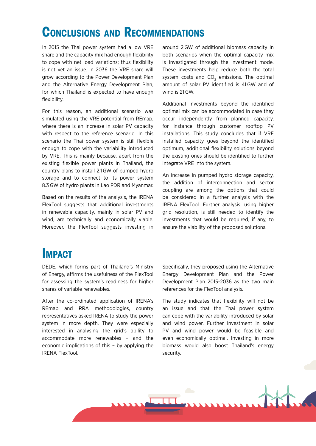### **Conclusions and Recommendations**

In 2015 the Thai power system had a low VRE share and the capacity mix had enough flexibility to cope with net load variations; thus flexibility is not yet an issue. In 2036 the VRE share will grow according to the Power Development Plan and the Alternative Energy Development Plan, for which Thailand is expected to have enough flexibility.

For this reason, an additional scenario was simulated using the VRE potential from REmap, where there is an increase in solar PV capacity with respect to the reference scenario. In this scenario the Thai power system is still flexible enough to cope with the variability introduced by VRE. This is mainly because, apart from the existing flexible power plants in Thailand, the country plans to install 2.1GW of pumped hydro storage and to connect to its power system 8.3 GW of hydro plants in Lao PDR and Myanmar.

Based on the results of the analysis, the IRENA FlexTool suggests that additional investments in renewable capacity, mainly in solar PV and wind, are technically and economically viable. Moreover, the FlexTool suggests investing in around 2 GW of additional biomass capacity in both scenarios when the optimal capacity mix is investigated through the investment mode. These investments help reduce both the total system costs and  $CO<sub>2</sub>$  emissions. The optimal amount of solar PV identified is 41GW and of wind is 21 GW.

Additional investments beyond the identified optimal mix can be accommodated in case they occur independently from planned capacity, for instance through customer rooftop PV installations. This study concludes that if VRE installed capacity goes beyond the identified optimum, additional flexibility solutions beyond the existing ones should be identified to further integrate VRE into the system.

An increase in pumped hydro storage capacity, the addition of interconnection and sector coupling are among the options that could be considered in a further analysis with the IRENA FlexTool. Further analysis, using higher grid resolution, is still needed to identify the investments that would be required, if any, to ensure the viability of the proposed solutions.

### **IMPACT**

DEDE, which forms part of Thailand's Ministry of Energy, affirms the usefulness of the FlexTool for assessing the system's readiness for higher shares of variable renewables.

After the co-ordinated application of IRENA's REmap and RRA methodologies, country representatives asked IRENA to study the power system in more depth. They were especially interested in analysing the grid's ability to accommodate more renewables – and the economic implications of this – by applying the IRENA FlexTool.

Specifically, they proposed using the Alternative Energy Development Plan and the Power Development Plan 2015-2036 as the two main references for the FlexTool analysis.

The study indicates that flexibility will not be an issue and that the Thai power system can cope with the variability introduced by solar and wind power. Further investment in solar PV and wind power would be feasible and even economically optimal. Investing in more biomass would also boost Thailand's energy security.